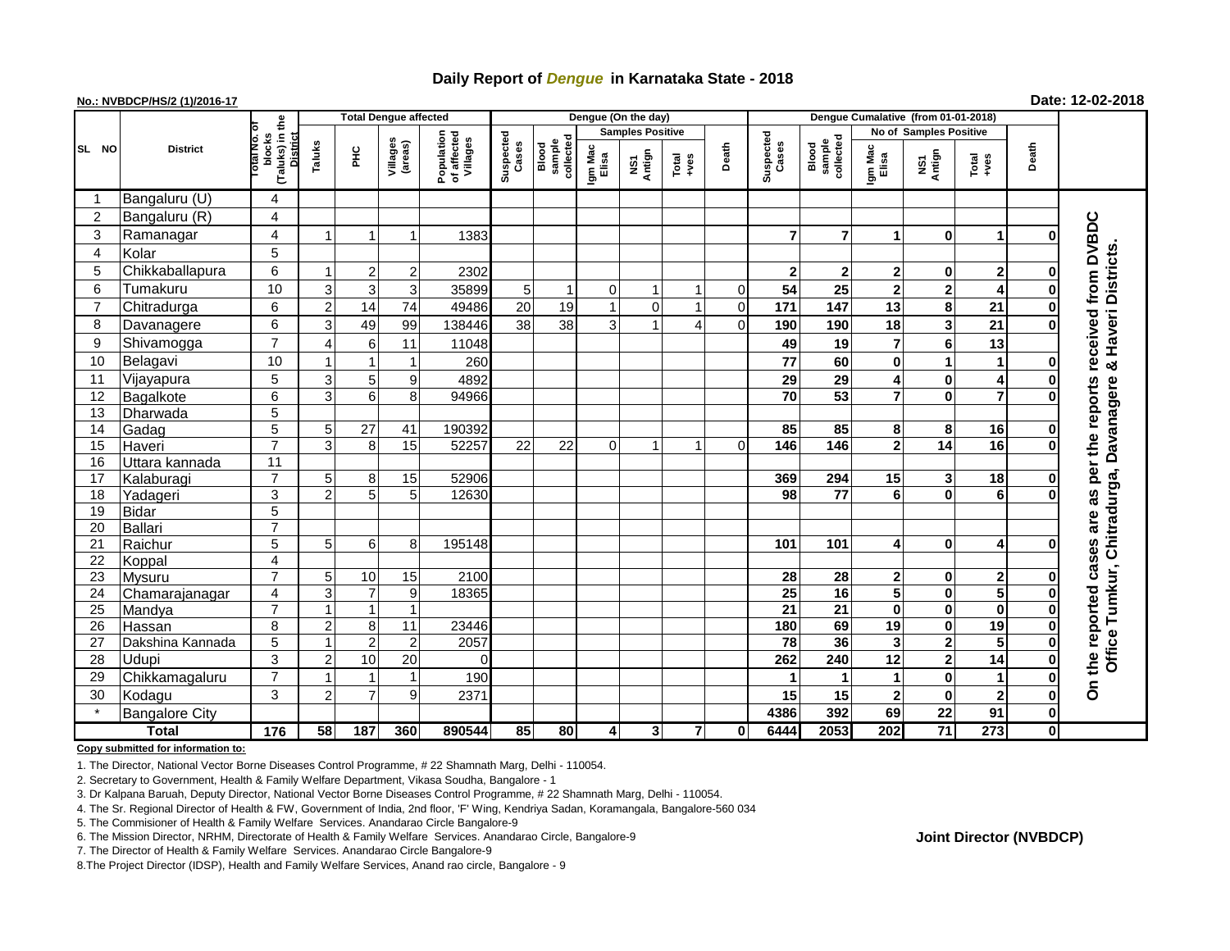# **Daily Report of** *Dengue* **in Karnataka State - 2018**

## **No.: NVBDCP/HS/2 (1)/2016-17 Date: 12-02-2018**

|                 | <b>District</b>       |                                                   | <b>Total Dengue affected</b> |                |                     |                                       |                    |                              |                  | Dengue (On the day)            |                         |                |                    |                              |                               |                         |                |              |                                                    |
|-----------------|-----------------------|---------------------------------------------------|------------------------------|----------------|---------------------|---------------------------------------|--------------------|------------------------------|------------------|--------------------------------|-------------------------|----------------|--------------------|------------------------------|-------------------------------|-------------------------|----------------|--------------|----------------------------------------------------|
|                 |                       |                                                   |                              |                |                     |                                       |                    |                              |                  | <b>Samples Positive</b>        |                         |                |                    |                              | <b>No of Samples Positive</b> |                         |                |              |                                                    |
| SL NO           |                       | (Taluks) in the<br>blocks<br>District<br>otal No. | Taluks                       | ĔБ             | Villages<br>(areas) | Population<br>of affected<br>Villages | Suspected<br>Cases | collected<br>sample<br>Blood | Igm Mac<br>Elisa | Antign<br>$\mathbf{\tilde{s}}$ | Total<br>+ves           | Death          | Suspected<br>Cases | sample<br>collected<br>Blood | Igm Mac<br>Elisa              | NS1<br>Antign           | Total<br>+ves  | Death        |                                                    |
| -1              | Bangaluru (U)         | 4                                                 |                              |                |                     |                                       |                    |                              |                  |                                |                         |                |                    |                              |                               |                         |                |              |                                                    |
| $\overline{c}$  | Bangaluru (R)         | 4                                                 |                              |                |                     |                                       |                    |                              |                  |                                |                         |                |                    |                              |                               |                         |                |              |                                                    |
| 3               | Ramanagar             | 4                                                 |                              |                |                     | 1383                                  |                    |                              |                  |                                |                         |                | $\overline{7}$     | $\overline{7}$               |                               | 0                       | 1              | O            | DVBDC                                              |
| 4               | Kolar                 | 5                                                 |                              |                |                     |                                       |                    |                              |                  |                                |                         |                |                    |                              |                               |                         |                |              |                                                    |
| 5               | Chikkaballapura       | 6                                                 |                              | $\mathbf{2}$   | $\mathbf{2}$        | 2302                                  |                    |                              |                  |                                |                         |                | $\mathbf{2}$       | $\mathbf{2}$                 | 2                             | 0                       | 2              | 0            | Haveri Districts                                   |
| 6               | Tumakuru              | 10                                                | 3                            | $\overline{3}$ | 3                   | 35899                                 | 5                  | $\mathbf 1$                  | $\mathbf 0$      | $\mathbf 1$                    | $\mathbf{1}$            | $\mathbf 0$    | 54                 | 25                           | $\mathbf{2}$                  | $\overline{2}$          | 4              | $\bf{0}$     | from                                               |
| $\overline{7}$  | Chitradurga           | 6                                                 | $\overline{2}$               | 14             | 74                  | 49486                                 | 20                 | 19                           | $\overline{1}$   | $\overline{0}$                 | 1                       | $\overline{0}$ | 171                | 147                          | 13                            | 8                       | 21             | $\bf{0}$     |                                                    |
| 8               | Davanagere            | 6                                                 | 3                            | 49             | 99                  | 138446                                | 38                 | 38                           | 3                | 1                              | $\overline{4}$          | $\mathbf{0}$   | 190                | 190                          | 18                            | 3                       | 21             | $\Omega$     |                                                    |
| 9               | Shivamogga            | $\overline{7}$                                    |                              | $6 \mid$       | 11                  | 11048                                 |                    |                              |                  |                                |                         |                | 49                 | 19                           | $\overline{7}$                | 6                       | 13             |              |                                                    |
| 10              | Belagavi              | 10                                                |                              |                |                     | 260                                   |                    |                              |                  |                                |                         |                | 77                 | 60                           | $\mathbf 0$                   | 1                       | 1              | 0            | received<br>න්                                     |
| 11              | Vijayapura            | 5                                                 | 3                            | 5 <sub>5</sub> | 9                   | 4892                                  |                    |                              |                  |                                |                         |                | 29                 | 29                           | 4                             | 0                       | 4              | 0            |                                                    |
| 12              | Bagalkote             | $\overline{6}$                                    | 3                            | 6 <sup>1</sup> | 8 <sup>1</sup>      | 94966                                 |                    |                              |                  |                                |                         |                | $\overline{70}$    | 53                           | $\overline{7}$                | $\mathbf{0}$            | $\overline{7}$ | $\Omega$     |                                                    |
| 13              | Dharwada              | $\overline{5}$                                    |                              |                |                     |                                       |                    |                              |                  |                                |                         |                |                    |                              |                               |                         |                |              |                                                    |
| 14              | Gadag                 | $\overline{5}$                                    | 5 <sup>1</sup>               | 27             | 41                  | 190392                                |                    |                              |                  |                                |                         |                | 85                 | 85                           | 8                             | 8                       | 16             | $\bf{0}$     |                                                    |
| 15              | Haveri                | $\overline{7}$                                    | 3                            | 8 <sup>1</sup> | 15                  | 52257                                 | 22                 | 22                           | $\Omega$         | 1                              | 1                       | $\Omega$       | 146                | 146                          | $\mathbf 2$                   | 14                      | 16             | $\bf{0}$     | per the reports<br>Tumkur, Chitradurga, Davanagere |
| 16              | Uttara kannada        | $\overline{11}$                                   |                              |                |                     |                                       |                    |                              |                  |                                |                         |                |                    |                              |                               |                         |                |              |                                                    |
| 17              | Kalaburagi            | $\overline{7}$                                    | 5                            | 8 <sup>1</sup> | 15                  | 52906                                 |                    |                              |                  |                                |                         |                | 369                | 294                          | 15                            | 3                       | 18             | 0            |                                                    |
| 18              | Yadageri              | 3                                                 | $\mathfrak{p}$               | 5 <sub>5</sub> | 5 <sub>l</sub>      | 12630                                 |                    |                              |                  |                                |                         |                | 98                 | 77                           | 6                             | 0                       | 6              | O            | 88                                                 |
| 19              | <b>Bidar</b>          | $\overline{5}$                                    |                              |                |                     |                                       |                    |                              |                  |                                |                         |                |                    |                              |                               |                         |                |              |                                                    |
| 20              | <b>Ballari</b>        | $\overline{7}$                                    |                              |                |                     |                                       |                    |                              |                  |                                |                         |                |                    |                              |                               |                         |                |              | are                                                |
| 21              | Raichur               | $\overline{5}$                                    | 5 <sup>1</sup>               | $6 \mid$       | 8 <sup>1</sup>      | 195148                                |                    |                              |                  |                                |                         |                | 101                | 101                          | 4                             | 0                       | 4              | O            | cases                                              |
| 22              | Koppal                | 4                                                 |                              |                |                     |                                       |                    |                              |                  |                                |                         |                |                    |                              |                               |                         |                |              |                                                    |
| $\overline{23}$ | Mysuru                | $\overline{7}$                                    | 5 <sup>1</sup>               | 10             | 15                  | 2100                                  |                    |                              |                  |                                |                         |                | 28                 | 28                           | $\mathbf{2}$                  | 0                       | $\mathbf 2$    | $\mathbf 0$  |                                                    |
| 24              | Chamarajanagar        | $\overline{4}$                                    | 3                            | $\overline{7}$ | 9                   | 18365                                 |                    |                              |                  |                                |                         |                | 25                 | 16                           | 5                             | 0                       | 5              | $\bf{0}$     | reported                                           |
| 25              | Mandya                | $\overline{7}$                                    |                              | $\mathbf{1}$   | $\mathbf{1}$        |                                       |                    |                              |                  |                                |                         |                | $\overline{21}$    | 21                           | 0                             | 0                       | $\pmb{0}$      | $\bf{0}$     |                                                    |
| 26              | Hassan                | 8                                                 | 2                            | 8              | 11                  | 23446                                 |                    |                              |                  |                                |                         |                | 180                | 69                           | 19                            | 0                       | 19             | $\bf{0}$     |                                                    |
| 27              | Dakshina Kannada      | 5                                                 |                              | $\overline{2}$ | $\overline{2}$      | 2057                                  |                    |                              |                  |                                |                         |                | 78                 | 36                           | 3                             | 2                       | 5              | 0            |                                                    |
| 28              | Udupi                 | $\mathfrak{S}$                                    | $\overline{2}$               | 10             | 20                  | $\Omega$                              |                    |                              |                  |                                |                         |                | 262                | 240                          | 12                            | $\overline{\mathbf{2}}$ | 14             | $\mathbf 0$  | Office <sup>-</sup><br>the                         |
| 29              | Chikkamagaluru        | $\overline{7}$                                    |                              |                | 1                   | 190                                   |                    |                              |                  |                                |                         |                | 1                  |                              | 1                             | 0                       | $\mathbf{1}$   | $\mathbf 0$  |                                                    |
| 30              | Kodagu                | 3                                                 | 2                            | $\overline{7}$ | 9                   | 2371                                  |                    |                              |                  |                                |                         |                | 15                 | 15                           | $\mathbf 2$                   | $\bf{0}$                | $\overline{2}$ | $\mathbf 0$  | å                                                  |
|                 | <b>Bangalore City</b> |                                                   |                              |                |                     |                                       |                    |                              |                  |                                |                         |                | 4386               | 392                          | 69                            | 22                      | 91             | $\mathbf 0$  |                                                    |
| <b>Total</b>    |                       | $\frac{1}{176}$                                   | 58                           | 187            | 360                 | 890544                                | 85                 | 80                           | 4                | 3                              | $\overline{\mathbf{r}}$ | 0              | 6444               | 2053                         | 202                           | $\overline{71}$         | 273            | $\mathbf{0}$ |                                                    |

**Copy submitted for information to:**

1. The Director, National Vector Borne Diseases Control Programme, # 22 Shamnath Marg, Delhi - 110054.

2. Secretary to Government, Health & Family Welfare Department, Vikasa Soudha, Bangalore - 1

3. Dr Kalpana Baruah, Deputy Director, National Vector Borne Diseases Control Programme, # 22 Shamnath Marg, Delhi - 110054.

4. The Sr. Regional Director of Health & FW, Government of India, 2nd floor, 'F' Wing, Kendriya Sadan, Koramangala, Bangalore-560 034

5. The Commisioner of Health & Family Welfare Services. Anandarao Circle Bangalore-9

7. The Director of Health & Family Welfare Services. Anandarao Circle Bangalore-9

8.The Project Director (IDSP), Health and Family Welfare Services, Anand rao circle, Bangalore - 9

**Joint Director (NVBDCP)**

<sup>6.</sup> The Mission Director, NRHM, Directorate of Health & Family Welfare Services. Anandarao Circle, Bangalore-9